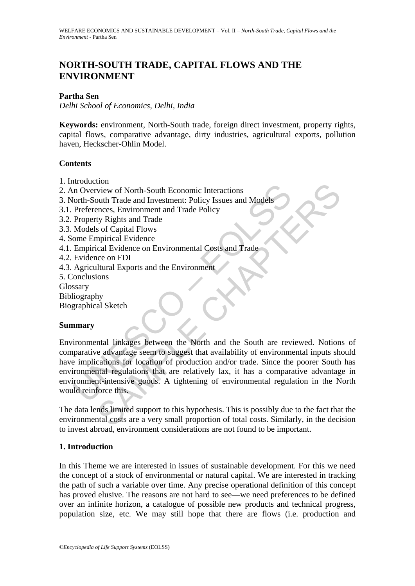# **NORTH-SOUTH TRADE, CAPITAL FLOWS AND THE ENVIRONMENT**

### **Partha Sen**

*Delhi School of Economics, Delhi, India* 

**Keywords:** environment, North-South trade, foreign direct investment, property rights, capital flows, comparative advantage, dirty industries, agricultural exports, pollution haven, Heckscher-Ohlin Model.

#### **Contents**

- 1. Introduction
- 2. An Overview of North-South Economic Interactions
- 3. North-South Trade and Investment: Policy Issues and Models
- 3.1. Preferences, Environment and Trade Policy
- 3.2. Property Rights and Trade
- 3.3. Models of Capital Flows
- 4. Some Empirical Evidence
- 4.1. Empirical Evidence on Environmental Costs and Trade
- 4.2. Evidence on FDI
- 4.3. Agricultural Exports and the Environment
- 5. Conclusions
- Glossary
- Bibliography
- Biographical Sketch

#### **Summary**

CONSIDERATION CONTROLLER CONSIDERATION CONTROLLER<br>
In Overview of North-South Economic Interactions<br>
Preferences, Environment and Trade Policy<br>
Property Rights and Trade<br>
Models of Capital Flows<br>
ome Empirical Evidence<br>
De From the Shorth-South Economic Interactions<br>
Trade and Investment: Policy Issues and Models<br>
The Response Environment and Trade Policy<br>
Set Capital Flows<br>
Set Capital Flows<br>
Set Capital Flows<br>
Set Capital Flows<br>
Spirical E Environmental linkages between the North and the South are reviewed. Notions of comparative advantage seem to suggest that availability of environmental inputs should have implications for location of production and/or trade. Since the poorer South has environmental regulations that are relatively lax, it has a comparative advantage in environment-intensive goods. A tightening of environmental regulation in the North would reinforce this.

The data lends limited support to this hypothesis. This is possibly due to the fact that the environmental costs are a very small proportion of total costs. Similarly, in the decision to invest abroad, environment considerations are not found to be important.

# **1. Introduction**

In this Theme we are interested in issues of sustainable development. For this we need the concept of a stock of environmental or natural capital. We are interested in tracking the path of such a variable over time. Any precise operational definition of this concept has proved elusive. The reasons are not hard to see—we need preferences to be defined over an infinite horizon, a catalogue of possible new products and technical progress, population size, etc. We may still hope that there are flows (i.e. production and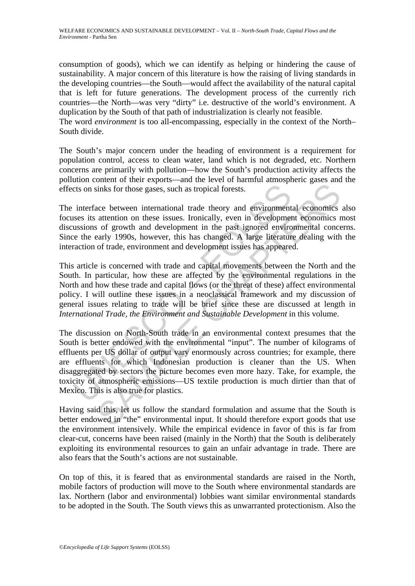consumption of goods), which we can identify as helping or hindering the cause of sustainability. A major concern of this literature is how the raising of living standards in the developing countries—the South—would affect the availability of the natural capital that is left for future generations. The development process of the currently rich countries—the North—was very "dirty" i.e. destructive of the world's environment. A duplication by the South of that path of industrialization is clearly not feasible.

The word *environment* is too all-encompassing, especially in the context of the North– South divide.

The South's major concern under the heading of environment is a requirement for population control, access to clean water, land which is not degraded, etc. Northern concerns are primarily with pollution—how the South's production activity affects the pollution content of their exports—and the level of harmful atmospheric gases and the effects on sinks for those gases, such as tropical forests.

The interface between international trade theory and environmental economics also focuses its attention on these issues. Ironically, even in development economics most discussions of growth and development in the past ignored environmental concerns. Since the early 1990s, however, this has changed. A large literature dealing with the interaction of trade, environment and development issues has appeared.

This article is concerned with trade and capital movements between the North and the South. In particular, how these are affected by the environmental regulations in the North and how these trade and capital flows (or the threat of these) affect environmental policy. I will outline these issues in a neoclassical framework and my discussion of general issues relating to trade will be brief since these are discussed at length in *International Trade, the Environment and Sustainable Development* in this volume.

cts on sinks for those gases, such as tropical forests.<br>
interface between international trade theory and environment<br>
sussions of growth and development in the past ignored environs<br>
ussions of growth and development in t sinks for those gases, such as tropical forests.<br>
acce between international trade theory and environmental economics<br>
attention on these issues. Ironically, even in development economics<br>
attention on these issues. Ironic The discussion on North-South trade in an environmental context presumes that the South is better endowed with the environmental "input". The number of kilograms of effluents per US dollar of output vary enormously across countries; for example, there are effluents for which Indonesian production is cleaner than the US. When disaggregated by sectors the picture becomes even more hazy. Take, for example, the toxicity of atmospheric emissions—US textile production is much dirtier than that of Mexico. This is also true for plastics.

Having said this, let us follow the standard formulation and assume that the South is better endowed in "the" environmental input. It should therefore export goods that use the environment intensively. While the empirical evidence in favor of this is far from clear-cut, concerns have been raised (mainly in the North) that the South is deliberately exploiting its environmental resources to gain an unfair advantage in trade. There are also fears that the South's actions are not sustainable.

On top of this, it is feared that as environmental standards are raised in the North, mobile factors of production will move to the South where environmental standards are lax. Northern (labor and environmental) lobbies want similar environmental standards to be adopted in the South. The South views this as unwarranted protectionism. Also the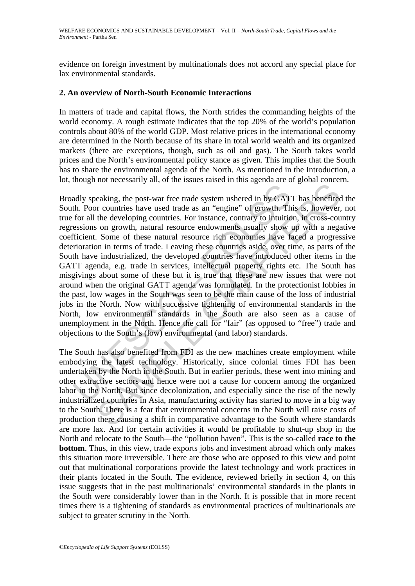evidence on foreign investment by multinationals does not accord any special place for lax environmental standards.

#### **2. An overview of North-South Economic Interactions**

In matters of trade and capital flows, the North strides the commanding heights of the world economy. A rough estimate indicates that the top 20% of the world's population controls about 80% of the world GDP. Most relative prices in the international economy are determined in the North because of its share in total world wealth and its organized markets (there are exceptions, though, such as oil and gas). The South takes world prices and the North's environmental policy stance as given. This implies that the South has to share the environmental agenda of the North. As mentioned in the Introduction, a lot, though not necessarily all, of the issues raised in this agenda are of global concern.

adly speaking, the post-war free trade system ushered in by GAT<br>th. Poor countries have used trade as an "engine" of growth. Th<br>for all the developing countries. For instance, contrary to intuitio<br>essions on growth, natura metricularly and a the state and "engual" and speak contrigue and the generator of growth. This is, however, the developing countries. For instance, contrary to intuition, in cross-cours on growth, attural resource endowme Broadly speaking, the post-war free trade system ushered in by GATT has benefited the South. Poor countries have used trade as an "engine" of growth. This is, however, not true for all the developing countries. For instance, contrary to intuition, in cross-country regressions on growth, natural resource endowments usually show up with a negative coefficient. Some of these natural resource rich economies have faced a progressive deterioration in terms of trade. Leaving these countries aside, over time, as parts of the South have industrialized, the developed countries have introduced other items in the GATT agenda, e.g. trade in services, intellectual property rights etc. The South has misgivings about some of these but it is true that these are new issues that were not around when the original GATT agenda was formulated. In the protectionist lobbies in the past, low wages in the South was seen to be the main cause of the loss of industrial jobs in the North. Now with successive tightening of environmental standards in the North, low environmental standards in the South are also seen as a cause of unemployment in the North. Hence the call for "fair" (as opposed to "free") trade and objections to the South's (low) environmental (and labor) standards.

The South has also benefited from FDI as the new machines create employment while embodying the latest technology. Historically, since colonial times FDI has been undertaken by the North in the South. But in earlier periods, these went into mining and other extractive sectors and hence were not a cause for concern among the organized labor in the North. But since decolonization, and especially since the rise of the newly industrialized countries in Asia, manufacturing activity has started to move in a big way to the South. There is a fear that environmental concerns in the North will raise costs of production there causing a shift in comparative advantage to the South where standards are more lax. And for certain activities it would be profitable to shut-up shop in the North and relocate to the South—the "pollution haven". This is the so-called **race to the bottom**. Thus, in this view, trade exports jobs and investment abroad which only makes this situation more irreversible. There are those who are opposed to this view and point out that multinational corporations provide the latest technology and work practices in their plants located in the South. The evidence, reviewed briefly in section 4, on this issue suggests that in the past multinationals' environmental standards in the plants in the South were considerably lower than in the North. It is possible that in more recent times there is a tightening of standards as environmental practices of multinationals are subject to greater scrutiny in the North.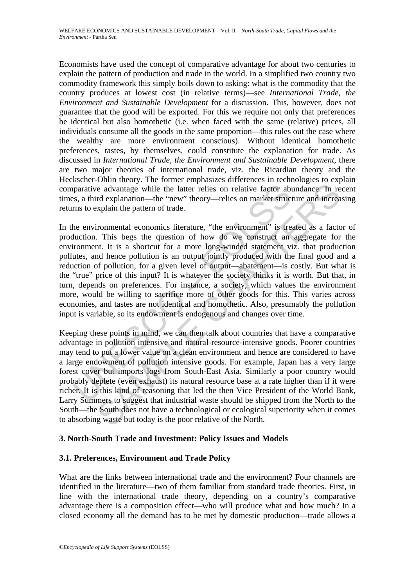Economists have used the concept of comparative advantage for about two centuries to explain the pattern of production and trade in the world. In a simplified two country two commodity framework this simply boils down to asking: what is the commodity that the country produces at lowest cost (in relative terms)—see *International Trade, the Environment and Sustainable Development* for a discussion. This, however, does not guarantee that the good will be exported. For this we require not only that preferences be identical but also homothetic (i.e. when faced with the same (relative) prices, all individuals consume all the goods in the same proportion—this rules out the case where the wealthy are more environment conscious). Without identical homothetic preferences, tastes, by themselves, could constitute the explanation for trade. As discussed in *International Trade, the Environment and Sustainable Development*, there are two major theories of international trade, viz. the Ricardian theory and the Heckscher-Ohlin theory. The former emphasizes differences in technologies to explain comparative advantage while the latter relies on relative factor abundance. In recent times, a third explanation—the "new" theory—relies on market structure and increasing returns to explain the pattern of trade.

parative advantage while the latter relies on relative factor abs, a third explanation—the "new" theory—relies on market struct ms to explain the pattern of trade.<br>
he environmental economics literature, "the environment" e advantage while the latter relies on relative factor abundance. In reaching the latter relies on relative factor abundance. In reaching a control explanation—the "new" theory—relies on market structure and increating exp In the environmental economics literature, "the environment" is treated as a factor of production. This begs the question of how do we construct an aggregate for the environment. It is a shortcut for a more long-winded statement viz. that production pollutes, and hence pollution is an output jointly produced with the final good and a reduction of pollution, for a given level of output—abatement—is costly. But what is the "true" price of this input? It is whatever the society thinks it is worth. But that, in turn, depends on preferences. For instance, a society, which values the environment more, would be willing to sacrifice more of other goods for this. This varies across economies, and tastes are not identical and homothetic. Also, presumably the pollution input is variable, so its endowment is endogenous and changes over time.

Keeping these points in mind, we can then talk about countries that have a comparative advantage in pollution intensive and natural-resource-intensive goods. Poorer countries may tend to put a lower value on a clean environment and hence are considered to have a large endowment of pollution intensive goods. For example, Japan has a very large forest cover but imports logs from South-East Asia. Similarly a poor country would probably deplete (even exhaust) its natural resource base at a rate higher than if it were richer. It is this kind of reasoning that led the then Vice President of the World Bank, Larry Summers to suggest that industrial waste should be shipped from the North to the South—the South does not have a technological or ecological superiority when it comes to absorbing waste but today is the poor relative of the North.

# **3. North-South Trade and Investment: Policy Issues and Models**

# **3.1. Preferences, Environment and Trade Policy**

What are the links between international trade and the environment? Four channels are identified in the literature—two of them familiar from standard trade theories. First, in line with the international trade theory, depending on a country's comparative advantage there is a composition effect—who will produce what and how much? In a closed economy all the demand has to be met by domestic production—trade allows a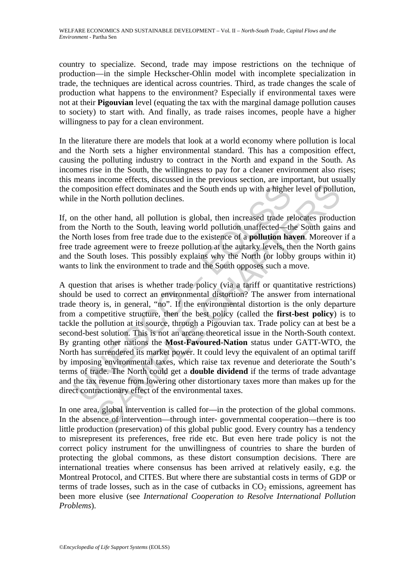country to specialize. Second, trade may impose restrictions on the technique of production—in the simple Heckscher-Ohlin model with incomplete specialization in trade, the techniques are identical across countries. Third, as trade changes the scale of production what happens to the environment? Especially if environmental taxes were not at their **Pigouvian** level (equating the tax with the marginal damage pollution causes to society) to start with. And finally, as trade raises incomes, people have a higher willingness to pay for a clean environment.

In the literature there are models that look at a world economy where pollution is local and the North sets a higher environmental standard. This has a composition effect, causing the polluting industry to contract in the North and expand in the South. As incomes rise in the South, the willingness to pay for a cleaner environment also rises; this means income effects, discussed in the previous section, are important, but usually the composition effect dominates and the South ends up with a higher level of pollution, while in the North pollution declines.

If, on the other hand, all pollution is global, then increased trade relocates production from the North to the South, leaving world pollution unaffected—the South gains and the North loses from free trade due to the existence of a **pollution haven**. Moreover if a free trade agreement were to freeze pollution at the autarky levels, then the North gains and the South loses. This possibly explains why the North (or lobby groups within it) wants to link the environment to trade and the South opposes such a move.

composition effect dominates and the South ends up with a higher<br>le in the North pollution declines.<br>on the other hand, all pollution is global, then increased trade re<br>a the North to the South, leaving world pollution una istion effect dominates and the South ends up with a higher level of pollution effect dominates and the South ends up with a higher level of pollution eNorth pollution declines.<br>
Other hand, all pollution is global, then A question that arises is whether trade policy (via a tariff or quantitative restrictions) should be used to correct an environmental distortion? The answer from international trade theory is, in general, "no". If the environmental distortion is the only departure from a competitive structure, then the best policy (called the **first-best policy**) is to tackle the pollution at its source, through a Pigouvian tax. Trade policy can at best be a second-best solution. This is not an arcane theoretical issue in the North-South context. By granting other nations the **Most-Favoured-Nation** status under GATT-WTO, the North has surrendered its market power. It could levy the equivalent of an optimal tariff by imposing environmental taxes, which raise tax revenue and deteriorate the South's terms of trade. The North could get a **double dividend** if the terms of trade advantage and the tax revenue from lowering other distortionary taxes more than makes up for the direct contractionary effect of the environmental taxes.

In one area, global intervention is called for—in the protection of the global commons. In the absence of intervention—through inter- governmental cooperation—there is too little production (preservation) of this global public good. Every country has a tendency to misrepresent its preferences, free ride etc. But even here trade policy is not the correct policy instrument for the unwillingness of countries to share the burden of protecting the global commons, as these distort consumption decisions. There are international treaties where consensus has been arrived at relatively easily, e.g. the Montreal Protocol, and CITES. But where there are substantial costs in terms of GDP or terms of trade losses, such as in the case of cutbacks in  $CO<sub>2</sub>$  emissions, agreement has been more elusive (see *International Cooperation to Resolve International Pollution Problems*).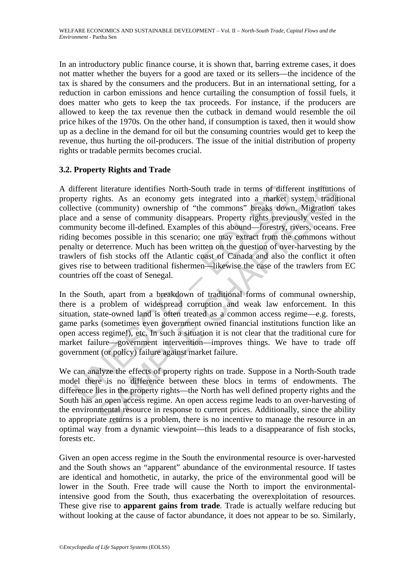In an introductory public finance course, it is shown that, barring extreme cases, it does not matter whether the buyers for a good are taxed or its sellers—the incidence of the tax is shared by the consumers and the producers. But in an international setting, for a reduction in carbon emissions and hence curtailing the consumption of fossil fuels, it does matter who gets to keep the tax proceeds. For instance, if the producers are allowed to keep the tax revenue then the cutback in demand would resemble the oil price hikes of the 1970s. On the other hand, if consumption is taxed, then it would show up as a decline in the demand for oil but the consuming countries would get to keep the revenue, thus hurting the oil-producers. The issue of the initial distribution of property rights or tradable permits becomes crucial.

# **3.2. Property Rights and Trade**

ifferent literature identifies North-South trade in terms of different literature identifies North-South trade in terms of differenty rights. As an economy gets integrated into a market sective (community) ownership of "th t literature identifies North-South trade in terms of different institution<br>ghts. As an economy gets integrated into a market system, tradition<br>(community) ownership of "the commos" break down, Migration to<br>a sense of comm A different literature identifies North-South trade in terms of different institutions of property rights. As an economy gets integrated into a market system, traditional collective (community) ownership of "the commons" breaks down. Migration takes place and a sense of community disappears. Property rights previously vested in the community become ill-defined. Examples of this abound—forestry, rivers, oceans. Free riding becomes possible in this scenario; one may extract from the commons without penalty or deterrence. Much has been written on the question of over-harvesting by the trawlers of fish stocks off the Atlantic coast of Canada and also the conflict it often gives rise to between traditional fishermen—likewise the case of the trawlers from EC countries off the coast of Senegal.

In the South, apart from a breakdown of traditional forms of communal ownership, there is a problem of widespread corruption and weak law enforcement. In this situation, state-owned land is often treated as a common access regime—e.g. forests, game parks (sometimes even government owned financial institutions function like an open access regime!), etc. In such a situation it is not clear that the traditional cure for market failure—government intervention—improves things. We have to trade off government (or policy) failure against market failure.

We can analyze the effects of property rights on trade. Suppose in a North-South trade model there is no difference between these blocs in terms of endowments. The difference lies in the property rights—the North has well defined property rights and the South has an open access regime. An open access regime leads to an over-harvesting of the environmental resource in response to current prices. Additionally, since the ability to appropriate returns is a problem, there is no incentive to manage the resource in an optimal way from a dynamic viewpoint—this leads to a disappearance of fish stocks, forests etc.

Given an open access regime in the South the environmental resource is over-harvested and the South shows an "apparent" abundance of the environmental resource. If tastes are identical and homothetic, in autarky, the price of the environmental good will be lower in the South. Free trade will cause the North to import the environmentalintensive good from the South, thus exacerbating the overexploitation of resources. These give rise to **apparent gains from trade**. Trade is actually welfare reducing but without looking at the cause of factor abundance, it does not appear to be so. Similarly,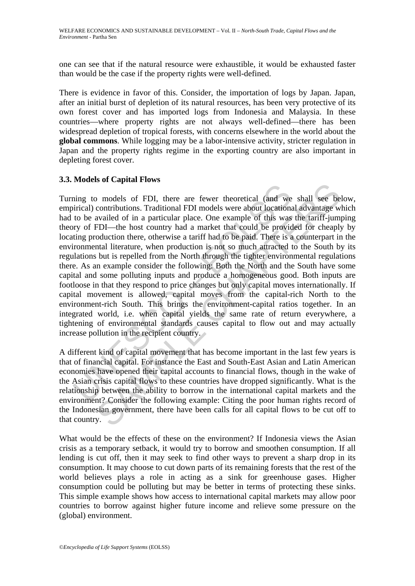one can see that if the natural resource were exhaustible, it would be exhausted faster than would be the case if the property rights were well-defined.

There is evidence in favor of this. Consider, the importation of logs by Japan. Japan, after an initial burst of depletion of its natural resources, has been very protective of its own forest cover and has imported logs from Indonesia and Malaysia. In these countries—where property rights are not always well-defined—there has been widespread depletion of tropical forests, with concerns elsewhere in the world about the **global commons**. While logging may be a labor-intensive activity, stricter regulation in Japan and the property rights regime in the exporting country are also important in depleting forest cover.

# **3.3. Models of Capital Flows**

The same of FDI, there are fewer theoretical (and we<br>inicial) contributions. Traditional FDI models were about locations<br>to be availed of in a particular place. One example of this was<br>tyry of FDI—the host country had a ma be surfact that the are fewer theoretical (and we shall see be contributions). Traditional FDI models were about locational advantage wavailed of in a particular place. One example of this was the tariff-jum<br>FDI—the host Turning to models of FDI, there are fewer theoretical (and we shall see below, empirical) contributions. Traditional FDI models were about locational advantage which had to be availed of in a particular place. One example of this was the tariff-jumping theory of FDI—the host country had a market that could be provided for cheaply by locating production there, otherwise a tariff had to be paid. There is a counterpart in the environmental literature, when production is not so much attracted to the South by its regulations but is repelled from the North through the tighter environmental regulations there. As an example consider the following: Both the North and the South have some capital and some polluting inputs and produce a homogeneous good. Both inputs are footloose in that they respond to price changes but only capital moves internationally. If capital movement is allowed, capital moves from the capital-rich North to the environment-rich South. This brings the environment-capital ratios together. In an integrated world, i.e. when capital yields the same rate of return everywhere, a tightening of environmental standards causes capital to flow out and may actually increase pollution in the recipient country.

A different kind of capital movement that has become important in the last few years is that of financial capital. For instance the East and South-East Asian and Latin American economies have opened their capital accounts to financial flows, though in the wake of the Asian crisis capital flows to these countries have dropped significantly. What is the relationship between the ability to borrow in the international capital markets and the environment? Consider the following example: Citing the poor human rights record of the Indonesian government, there have been calls for all capital flows to be cut off to that country.

What would be the effects of these on the environment? If Indonesia views the Asian crisis as a temporary setback, it would try to borrow and smoothen consumption. If all lending is cut off, then it may seek to find other ways to prevent a sharp drop in its consumption. It may choose to cut down parts of its remaining forests that the rest of the world believes plays a role in acting as a sink for greenhouse gases. Higher consumption could be polluting but may be better in terms of protecting these sinks. This simple example shows how access to international capital markets may allow poor countries to borrow against higher future income and relieve some pressure on the (global) environment.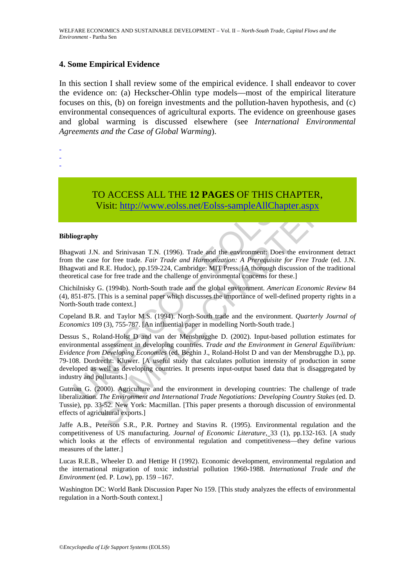#### **4. Some Empirical Evidence**

In this section I shall review some of the empirical evidence. I shall endeavor to cover the evidence on: (a) Heckscher-Ohlin type models—most of the empirical literature focuses on this, (b) on foreign investments and the pollution-haven hypothesis, and (c) environmental consequences of agricultural exports. The evidence on greenhouse gases and global warming is discussed elsewhere (see *International Environmental Agreements and the Case of Global Warming*).

- -
- -
- TO ACCESS ALL THE **12 PAGES** OF THIS CHAPTER, Visit: http://www.eolss.net/Eolss-sampleAllChapter.aspx

#### **Bibliography**

Bhagwati J.N. and Srinivasan T.N. (1996). Trade and the environment: Does the environment detract from the case for free trade. *Fair Trade and Harmonization: A Prerequisite for Free Trade* (ed. J.N. Bhagwati and R.E. Hudoc), pp.159-224, Cambridge: MIT Press. [A thorough discussion of the traditional theoretical case for free trade and the challenge of environmental concerns for these.]

Chichilnisky G. (1994b). North-South trade and the global environment. *American Economic Review* 84 (4), 851-875. [This is a seminal paper which discusses the importance of well-defined property rights in a North-South trade context.]

Copeland B.R. and Taylor M.S. (1994). North-South trade and the environment. *Quarterly Journal of Economics* 109 (3), 755-787. [An influential paper in modelling North-South trade.]

TO ACCESS ALL THE 12 PAGES OF THIS CHA<br>Visit: http://www.eolss.net/Eolss-sampleAllChapte<br>iography<br>wati J.N. and Srinivasan T.N. (1996). Trade and the environment: Does the<br>the case for free trade. *Fair Trade and Harmoniza* CO ACCESS ALL THE 12 PAGES OF THIS CHAPTER,<br>Visit:  $\frac{1}{2}$  http://www.eolss.net/Eolss-sampleAllChapter.aspx<br>y<br>stit:  $\frac{1}{2}$  http://www.eolss.net/Eolss-sampleAllChapter.aspx<br>y<br>stit:  $\frac{1}{2}$  http://www.eolss.net/Eolss Dessus S., Roland-Holst D and van der Mensbrugghe D. (2002). Input-based pollution estimates for environmental assessment in developing countries. *Trade and the Environment in General Equilibrium: Evidence from Developing Economies* (ed. Beghin J., Roland-Holst D and van der Mensbrugghe D.), pp. 79-108. Dordrecht: Kluwer. [A useful study that calculates pollution intensity of production in some developed as well as developing countries. It presents input-output based data that is disaggregated by industry and pollutants.]

Gutman G. (2000). Agriculture and the environment in developing countries: The challenge of trade liberalization. *The Environment and International Trade Negotiations: Developing Country Stakes* (ed. D. Tussie), pp. 33-52. New York: Macmillan. [This paper presents a thorough discussion of environmental effects of agricultural exports.]

Jaffe A.B., Peterson S.R., P.R. Portney and Stavins R. (1995). Environmental regulation and the competitiveness of US manufacturing. *Journal of Economic Literature,* 33 (1), pp.132-163. [A study which looks at the effects of environmental regulation and competitiveness—they define various measures of the latter.]

Lucas R.E.B., Wheeler D. and Hettige H (1992). Economic development, environmental regulation and the international migration of toxic industrial pollution 1960-1988. *International Trade and the Environment* (ed. P. Low), pp. 159 –167.

Washington DC: World Bank Discussion Paper No 159. [This study analyzes the effects of environmental regulation in a North-South context.]